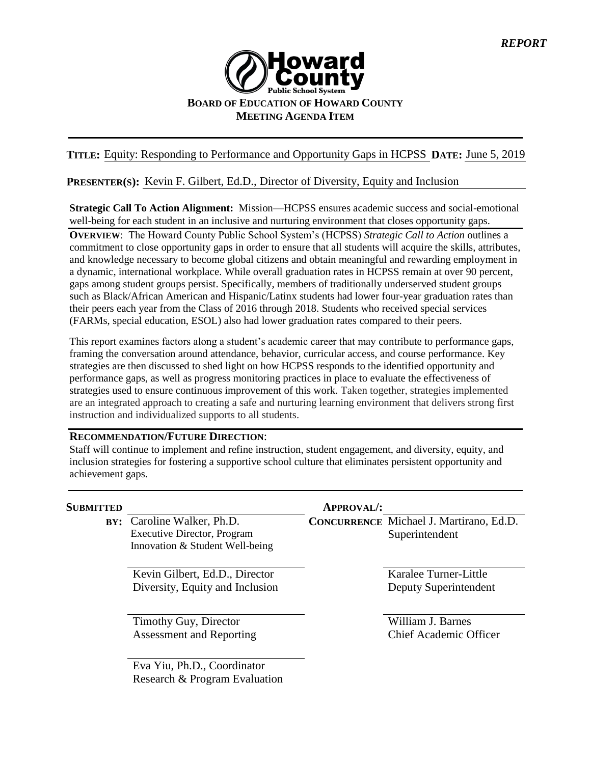

## **TITLE:** Equity: Responding to Performance and Opportunity Gaps in HCPSS **DATE:** June 5, 2019

#### **PRESENTER(S):** Kevin F. Gilbert, Ed.D., Director of Diversity, Equity and Inclusion

**Strategic Call To Action Alignment:** Mission—HCPSS ensures academic success and social-emotional well-being for each student in an inclusive and nurturing environment that closes opportunity gaps.

**OVERVIEW**: The Howard County Public School System's (HCPSS) *Strategic Call to Action* outlines a commitment to close opportunity gaps in order to ensure that all students will acquire the skills, attributes, and knowledge necessary to become global citizens and obtain meaningful and rewarding employment in a dynamic, international workplace. While overall graduation rates in HCPSS remain at over 90 percent, gaps among student groups persist. Specifically, members of traditionally underserved student groups such as Black/African American and Hispanic/Latinx students had lower four-year graduation rates than their peers each year from the Class of 2016 through 2018. Students who received special services (FARMs, special education, ESOL) also had lower graduation rates compared to their peers.

This report examines factors along a student's academic career that may contribute to performance gaps, framing the conversation around attendance, behavior, curricular access, and course performance. Key strategies are then discussed to shed light on how HCPSS responds to the identified opportunity and performance gaps, as well as progress monitoring practices in place to evaluate the effectiveness of strategies used to ensure continuous improvement of this work. Taken together, strategies implemented are an integrated approach to creating a safe and nurturing learning environment that delivers strong first instruction and individualized supports to all students.

#### **RECOMMENDATION/FUTURE DIRECTION**:

Staff will continue to implement and refine instruction, student engagement, and diversity, equity, and inclusion strategies for fostering a supportive school culture that eliminates persistent opportunity and achievement gaps.

| <b>SUBMITTED</b> |                                                                                                     | <b>APPROVAL/:</b> |                                                                  |
|------------------|-----------------------------------------------------------------------------------------------------|-------------------|------------------------------------------------------------------|
|                  | BY: Caroline Walker, Ph.D.<br><b>Executive Director, Program</b><br>Innovation & Student Well-being |                   | <b>CONCURRENCE</b> Michael J. Martirano, Ed.D.<br>Superintendent |
|                  | Kevin Gilbert, Ed.D., Director<br>Diversity, Equity and Inclusion                                   |                   | Karalee Turner-Little<br>Deputy Superintendent                   |
|                  | Timothy Guy, Director<br><b>Assessment and Reporting</b>                                            |                   | William J. Barnes<br><b>Chief Academic Officer</b>               |
|                  | Eva Yiu, Ph.D., Coordinator<br>Research & Program Evaluation                                        |                   |                                                                  |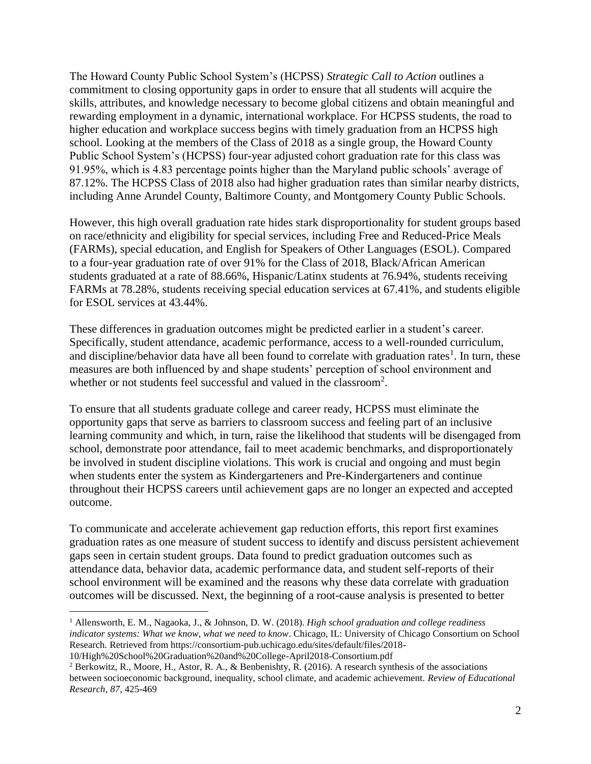The Howard County Public School System's (HCPSS) *Strategic Call to Action* outlines a commitment to closing opportunity gaps in order to ensure that all students will acquire the skills, attributes, and knowledge necessary to become global citizens and obtain meaningful and rewarding employment in a dynamic, international workplace. For HCPSS students, the road to higher education and workplace success begins with timely graduation from an HCPSS high school. Looking at the members of the Class of 2018 as a single group, the Howard County Public School System's (HCPSS) four-year adjusted cohort graduation rate for this class was 91.95%, which is 4.83 percentage points higher than the Maryland public schools' average of 87.12%. The HCPSS Class of 2018 also had higher graduation rates than similar nearby districts, including Anne Arundel County, Baltimore County, and Montgomery County Public Schools.

However, this high overall graduation rate hides stark disproportionality for student groups based on race/ethnicity and eligibility for special services, including Free and Reduced-Price Meals (FARMs), special education, and English for Speakers of Other Languages (ESOL). Compared to a four-year graduation rate of over 91% for the Class of 2018, Black/African American students graduated at a rate of 88.66%, Hispanic/Latinx students at 76.94%, students receiving FARMs at 78.28%, students receiving special education services at 67.41%, and students eligible for ESOL services at 43.44%.

These differences in graduation outcomes might be predicted earlier in a student's career. Specifically, student attendance, academic performance, access to a well-rounded curriculum, and discipline/behavior data have all been found to correlate with graduation rates<sup>1</sup>. In turn, these measures are both influenced by and shape students' perception of school environment and whether or not students feel successful and valued in the classroom<sup>2</sup>.

To ensure that all students graduate college and career ready, HCPSS must eliminate the opportunity gaps that serve as barriers to classroom success and feeling part of an inclusive learning community and which, in turn, raise the likelihood that students will be disengaged from school, demonstrate poor attendance, fail to meet academic benchmarks, and disproportionately be involved in student discipline violations. This work is crucial and ongoing and must begin when students enter the system as Kindergarteners and Pre-Kindergarteners and continue throughout their HCPSS careers until achievement gaps are no longer an expected and accepted outcome.

To communicate and accelerate achievement gap reduction efforts, this report first examines graduation rates as one measure of student success to identify and discuss persistent achievement gaps seen in certain student groups. Data found to predict graduation outcomes such as attendance data, behavior data, academic performance data, and student self-reports of their school environment will be examined and the reasons why these data correlate with graduation outcomes will be discussed. Next, the beginning of a root-cause analysis is presented to better

<sup>1</sup> Allensworth, E. M., Nagaoka, J., & Johnson, D. W. (2018). *High school graduation and college readiness indicator systems: What we know, what we need to know*. Chicago, IL: University of Chicago Consortium on School Research. Retrieved from https://consortium-pub.uchicago.edu/sites/default/files/2018-

<sup>10/</sup>High%20School%20Graduation%20and%20College-April2018-Consortium.pdf

<sup>2</sup> Berkowitz, R., Moore, H., Astor, R. A., & Benbenishty, R. (2016). A research synthesis of the associations between socioeconomic background, inequality, school climate, and academic achievement. *Review of Educational Research, 87,* 425-469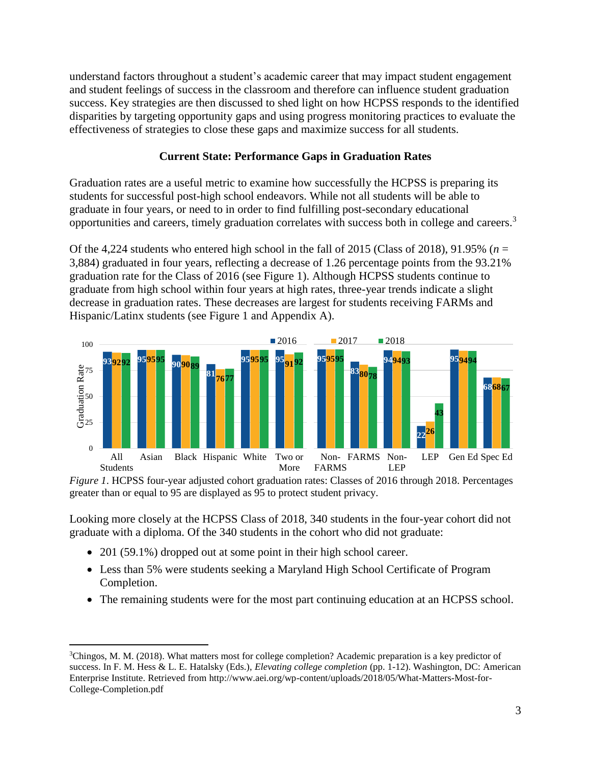understand factors throughout a student's academic career that may impact student engagement and student feelings of success in the classroom and therefore can influence student graduation success. Key strategies are then discussed to shed light on how HCPSS responds to the identified disparities by targeting opportunity gaps and using progress monitoring practices to evaluate the effectiveness of strategies to close these gaps and maximize success for all students.

### **Current State: Performance Gaps in Graduation Rates**

Graduation rates are a useful metric to examine how successfully the HCPSS is preparing its students for successful post-high school endeavors. While not all students will be able to graduate in four years, or need to in order to find fulfilling post-secondary educational opportunities and careers, timely graduation correlates with success both in college and careers. 3

Of the 4,224 students who entered high school in the fall of 2015 (Class of 2018), 91.95% ( $n =$ 3,884) graduated in four years, reflecting a decrease of 1.26 percentage points from the 93.21% graduation rate for the Class of 2016 (see Figure 1). Although HCPSS students continue to graduate from high school within four years at high rates, three-year trends indicate a slight decrease in graduation rates. These decreases are largest for students receiving FARMs and Hispanic/Latinx students (see Figure 1 and Appendix A).



*Figure 1*. HCPSS four-year adjusted cohort graduation rates: Classes of 2016 through 2018. Percentages greater than or equal to 95 are displayed as 95 to protect student privacy.

Looking more closely at the HCPSS Class of 2018, 340 students in the four-year cohort did not graduate with a diploma. Of the 340 students in the cohort who did not graduate:

201 (59.1%) dropped out at some point in their high school career.

- Less than 5% were students seeking a Maryland High School Certificate of Program Completion.
- The remaining students were for the most part continuing education at an HCPSS school.

<sup>&</sup>lt;sup>3</sup>Chingos, M. M. (2018). What matters most for college completion? Academic preparation is a key predictor of success. In F. M. Hess & L. E. Hatalsky (Eds.), *Elevating college completion* (pp. 1-12). Washington, DC: American Enterprise Institute. Retrieved from http://www.aei.org/wp-content/uploads/2018/05/What-Matters-Most-for-College-Completion.pdf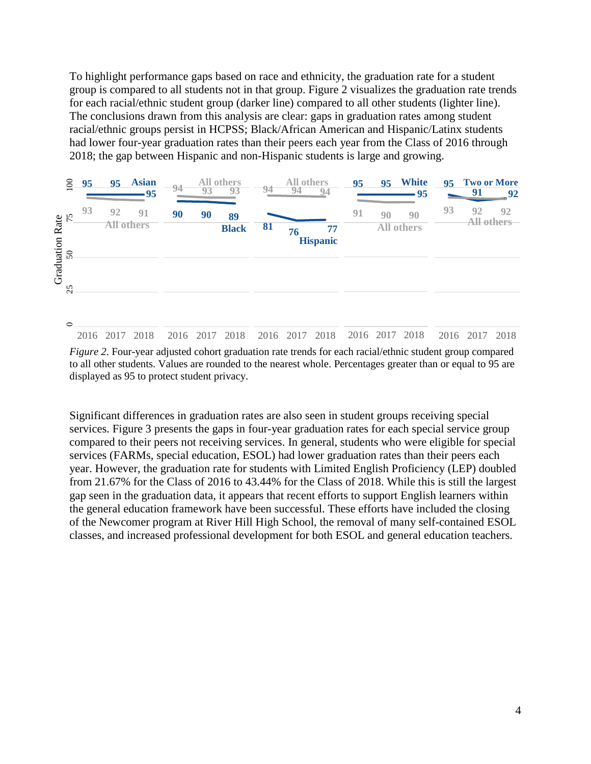To highlight performance gaps based on race and ethnicity, the graduation rate for a student group is compared to all students not in that group. Figure 2 visualizes the graduation rate trends for each racial/ethnic student group (darker line) compared to all other students (lighter line). The conclusions drawn from this analysis are clear: gaps in graduation rates among student racial/ethnic groups persist in HCPSS; Black/African American and Hispanic/Latinx students had lower four-year graduation rates than their peers each year from the Class of 2016 through 2018; the gap between Hispanic and non-Hispanic students is large and growing.



*Figure 2*. Four-year adjusted cohort graduation rate trends for each racial/ethnic student group compared to all other students. Values are rounded to the nearest whole. Percentages greater than or equal to 95 are displayed as 95 to protect student privacy.

Significant differences in graduation rates are also seen in student groups receiving special services. Figure 3 presents the gaps in four-year graduation rates for each special service group compared to their peers not receiving services. In general, students who were eligible for special services (FARMs, special education, ESOL) had lower graduation rates than their peers each year. However, the graduation rate for students with Limited English Proficiency (LEP) doubled from 21.67% for the Class of 2016 to 43.44% for the Class of 2018. While this is still the largest gap seen in the graduation data, it appears that recent efforts to support English learners within the general education framework have been successful. These efforts have included the closing of the Newcomer program at River Hill High School, the removal of many self-contained ESOL classes, and increased professional development for both ESOL and general education teachers.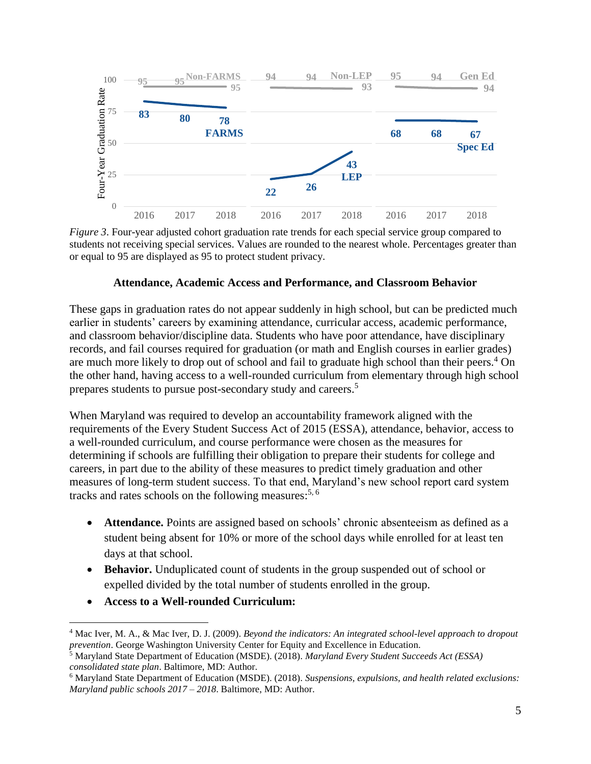

*Figure 3*. Four-year adjusted cohort graduation rate trends for each special service group compared to students not receiving special services. Values are rounded to the nearest whole. Percentages greater than or equal to 95 are displayed as 95 to protect student privacy.

#### **Attendance, Academic Access and Performance, and Classroom Behavior**

These gaps in graduation rates do not appear suddenly in high school, but can be predicted much earlier in students' careers by examining attendance, curricular access, academic performance, and classroom behavior/discipline data. Students who have poor attendance, have disciplinary records, and fail courses required for graduation (or math and English courses in earlier grades) are much more likely to drop out of school and fail to graduate high school than their peers.<sup>4</sup> On the other hand, having access to a well-rounded curriculum from elementary through high school prepares students to pursue post-secondary study and careers.<sup>5</sup>

When Maryland was required to develop an accountability framework aligned with the requirements of the Every Student Success Act of 2015 (ESSA), attendance, behavior, access to a well-rounded curriculum, and course performance were chosen as the measures for determining if schools are fulfilling their obligation to prepare their students for college and careers, in part due to the ability of these measures to predict timely graduation and other measures of long-term student success. To that end, Maryland's new school report card system tracks and rates schools on the following measures:<sup>5, 6</sup>

- **Attendance.** Points are assigned based on schools' chronic absenteeism as defined as a student being absent for 10% or more of the school days while enrolled for at least ten days at that school.
- **Behavior.** Unduplicated count of students in the group suspended out of school or expelled divided by the total number of students enrolled in the group.
- **Access to a Well-rounded Curriculum:**

 $\overline{a}$ <sup>4</sup> Mac Iver, M. A., & Mac Iver, D. J. (2009). *Beyond the indicators: An integrated school-level approach to dropout prevention*. George Washington University Center for Equity and Excellence in Education.

<sup>5</sup> Maryland State Department of Education (MSDE). (2018). *Maryland Every Student Succeeds Act (ESSA) consolidated state plan*. Baltimore, MD: Author.

<sup>6</sup> Maryland State Department of Education (MSDE). (2018). *Suspensions, expulsions, and health related exclusions: Maryland public schools 2017 – 2018*. Baltimore, MD: Author.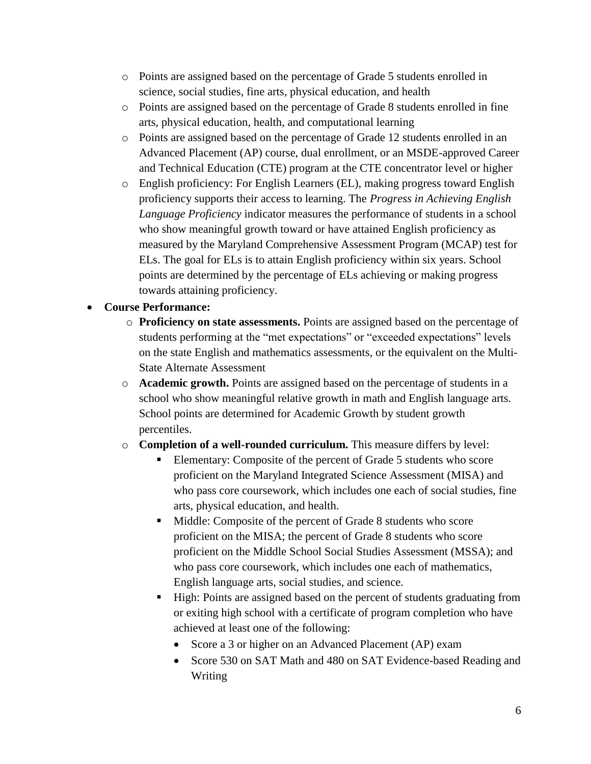- o Points are assigned based on the percentage of Grade 5 students enrolled in science, social studies, fine arts, physical education, and health
- o Points are assigned based on the percentage of Grade 8 students enrolled in fine arts, physical education, health, and computational learning
- o Points are assigned based on the percentage of Grade 12 students enrolled in an Advanced Placement (AP) course, dual enrollment, or an MSDE-approved Career and Technical Education (CTE) program at the CTE concentrator level or higher
- o English proficiency: For English Learners (EL), making progress toward English proficiency supports their access to learning. The *Progress in Achieving English Language Proficiency* indicator measures the performance of students in a school who show meaningful growth toward or have attained English proficiency as measured by the Maryland Comprehensive Assessment Program (MCAP) test for ELs. The goal for ELs is to attain English proficiency within six years. School points are determined by the percentage of ELs achieving or making progress towards attaining proficiency.

## **Course Performance:**

- o **Proficiency on state assessments.** Points are assigned based on the percentage of students performing at the "met expectations" or "exceeded expectations" levels on the state English and mathematics assessments, or the equivalent on the Multi-State Alternate Assessment
- o **Academic growth.** Points are assigned based on the percentage of students in a school who show meaningful relative growth in math and English language arts. School points are determined for Academic Growth by student growth percentiles.
- o **Completion of a well-rounded curriculum.** This measure differs by level:
	- Elementary: Composite of the percent of Grade 5 students who score proficient on the Maryland Integrated Science Assessment (MISA) and who pass core coursework, which includes one each of social studies, fine arts, physical education, and health.
	- Middle: Composite of the percent of Grade 8 students who score proficient on the MISA; the percent of Grade 8 students who score proficient on the Middle School Social Studies Assessment (MSSA); and who pass core coursework, which includes one each of mathematics, English language arts, social studies, and science.
	- High: Points are assigned based on the percent of students graduating from or exiting high school with a certificate of program completion who have achieved at least one of the following:
		- Score a 3 or higher on an Advanced Placement (AP) exam
		- Score 530 on SAT Math and 480 on SAT Evidence-based Reading and Writing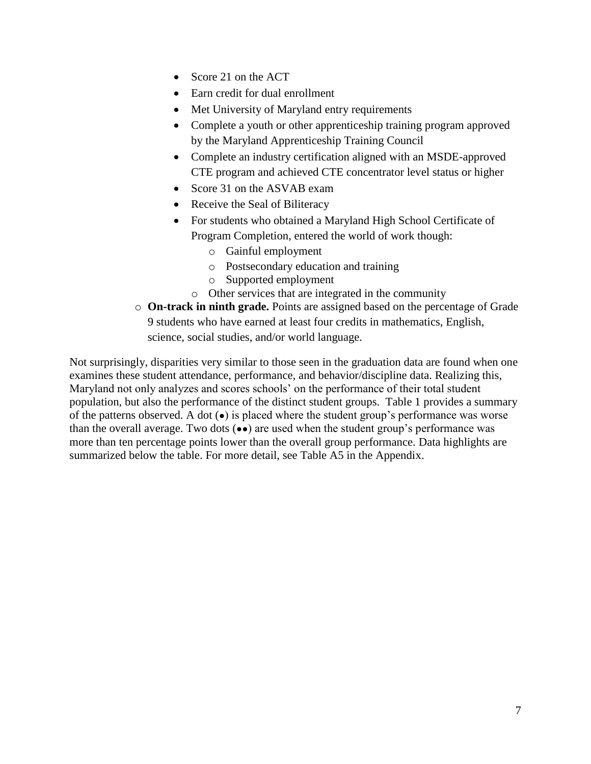- Score 21 on the ACT
- Earn credit for dual enrollment
- Met University of Maryland entry requirements
- Complete a youth or other apprenticeship training program approved by the Maryland Apprenticeship Training Council
- Complete an industry certification aligned with an MSDE-approved CTE program and achieved CTE concentrator level status or higher
- Score 31 on the ASVAB exam
- Receive the Seal of Biliteracy
- For students who obtained a Maryland High School Certificate of Program Completion, entered the world of work though:
	- o Gainful employment
	- o Postsecondary education and training
	- o Supported employment
	- o Other services that are integrated in the community
- o **On-track in ninth grade.** Points are assigned based on the percentage of Grade 9 students who have earned at least four credits in mathematics, English, science, social studies, and/or world language.

Not surprisingly, disparities very similar to those seen in the graduation data are found when one examines these student attendance, performance, and behavior/discipline data. Realizing this, Maryland not only analyzes and scores schools' on the performance of their total student population, but also the performance of the distinct student groups. Table 1 provides a summary of the patterns observed. A dot  $\left( \bullet \right)$  is placed where the student group's performance was worse than the overall average. Two dots  $(\bullet \bullet)$  are used when the student group's performance was more than ten percentage points lower than the overall group performance. Data highlights are summarized below the table. For more detail, see Table A5 in the Appendix.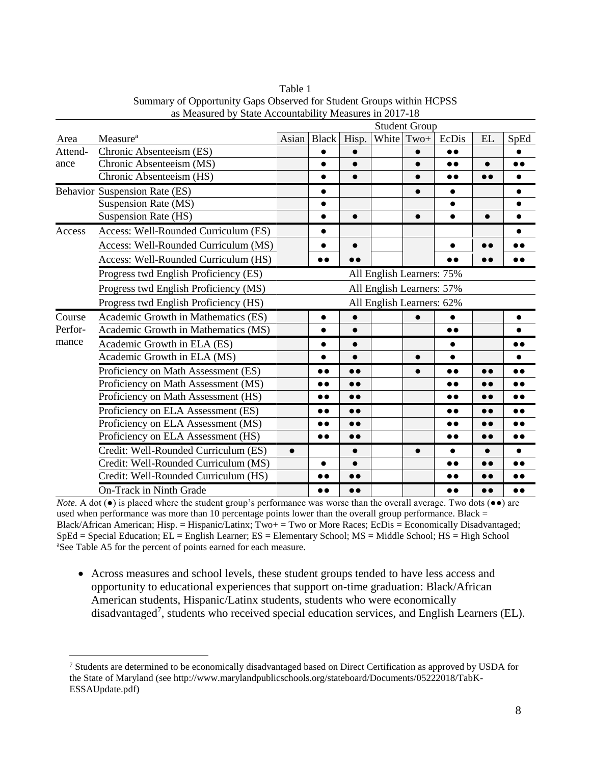|         |                                                                    |           |                  |                  |                           | <b>Student Group</b> |                  |                  |                  |  |  |  |  |  |
|---------|--------------------------------------------------------------------|-----------|------------------|------------------|---------------------------|----------------------|------------------|------------------|------------------|--|--|--|--|--|
| Area    | Measure <sup>a</sup>                                               | Asian     | <b>Black</b>     | Hisp.            | White                     | $Two+$               | EcDis            | EL               | SpEd             |  |  |  |  |  |
| Attend- | Chronic Absenteeism (ES)                                           |           | $\bullet$        | $\bullet$        |                           | $\bullet$            | $\bullet\bullet$ |                  | $\bullet$        |  |  |  |  |  |
| ance    | Chronic Absenteeism (MS)                                           |           | $\bullet$        | $\bullet$        |                           | $\bullet$            | $\bullet$        | $\bullet$        | $\bullet$        |  |  |  |  |  |
|         | Chronic Absenteeism (HS)                                           |           | $\bullet$        | $\bullet$        |                           | $\bullet$            | $\bullet\bullet$ | $\bullet\bullet$ | $\bullet$        |  |  |  |  |  |
|         | Behavior Suspension Rate (ES)                                      |           | $\bullet$        |                  |                           | $\bullet$            | $\bullet$        |                  | $\bullet$        |  |  |  |  |  |
|         | <b>Suspension Rate (MS)</b>                                        |           | $\bullet$        |                  |                           |                      | $\bullet$        |                  | $\bullet$        |  |  |  |  |  |
|         | Suspension Rate (HS)                                               |           | $\bullet$        | $\bullet$        |                           | $\bullet$            | $\bullet$        | $\bullet$        | $\bullet$        |  |  |  |  |  |
| Access  | Access: Well-Rounded Curriculum (ES)                               |           |                  |                  |                           |                      |                  |                  |                  |  |  |  |  |  |
|         | Access: Well-Rounded Curriculum (MS)                               |           | $\bullet$        | $\bullet$        |                           |                      | $\bullet$        | $\bullet$        |                  |  |  |  |  |  |
|         | Access: Well-Rounded Curriculum (HS)                               |           | $\bullet$        | $\bullet\bullet$ |                           |                      | $\bullet\bullet$ |                  | $\bullet\bullet$ |  |  |  |  |  |
|         | Progress twd English Proficiency (ES)<br>All English Learners: 75% |           |                  |                  |                           |                      |                  |                  |                  |  |  |  |  |  |
|         | Progress twd English Proficiency (MS)                              |           |                  |                  | All English Learners: 57% |                      |                  |                  |                  |  |  |  |  |  |
|         | Progress twd English Proficiency (HS)                              |           |                  |                  | All English Learners: 62% |                      |                  |                  |                  |  |  |  |  |  |
| Course  | Academic Growth in Mathematics (ES)                                |           |                  |                  |                           |                      |                  |                  |                  |  |  |  |  |  |
| Perfor- | Academic Growth in Mathematics (MS)                                |           | $\bullet$        | $\bullet$        |                           |                      | $\bullet\bullet$ |                  |                  |  |  |  |  |  |
| mance   | Academic Growth in ELA (ES)                                        |           | $\bullet$        | $\bullet$        |                           |                      | $\bullet$        |                  | $\bullet$        |  |  |  |  |  |
|         | Academic Growth in ELA (MS)                                        |           | $\bullet$        | $\bullet$        |                           | $\bullet$            | $\bullet$        |                  |                  |  |  |  |  |  |
|         | Proficiency on Math Assessment (ES)                                |           | $\bullet\bullet$ | $\bullet$        |                           | $\bullet$            | $\bullet\bullet$ | $\bullet$        | $\bullet$        |  |  |  |  |  |
|         | Proficiency on Math Assessment (MS)                                |           | $\bullet\bullet$ | $\bullet\bullet$ |                           |                      | $\bullet\bullet$ | $\bullet\bullet$ | $\bullet\bullet$ |  |  |  |  |  |
|         | Proficiency on Math Assessment (HS)                                |           | $\bullet\bullet$ | $\bullet$        |                           |                      | $\bullet\bullet$ | $\bullet$        | $\bullet\bullet$ |  |  |  |  |  |
|         | Proficiency on ELA Assessment (ES)                                 |           | $\bullet\bullet$ | $\bullet$        |                           |                      | $\bullet\bullet$ | $\bullet$        | $\bullet$        |  |  |  |  |  |
|         | Proficiency on ELA Assessment (MS)                                 |           | $\bullet\bullet$ | $\bullet$        |                           |                      | $\bullet\bullet$ |                  | $\bullet\bullet$ |  |  |  |  |  |
|         | Proficiency on ELA Assessment (HS)                                 |           | $\bullet\bullet$ | $\bullet\bullet$ |                           |                      | $\bullet\bullet$ | $\bullet$        | $\bullet$        |  |  |  |  |  |
|         | Credit: Well-Rounded Curriculum (ES)                               | $\bullet$ |                  | $\bullet$        |                           | $\bullet$            | $\bullet$        | $\bullet$        |                  |  |  |  |  |  |
|         | Credit: Well-Rounded Curriculum (MS)                               |           | $\bullet$        | $\bullet$        |                           |                      | $\bullet\bullet$ |                  |                  |  |  |  |  |  |
|         | Credit: Well-Rounded Curriculum (HS)                               |           | $\bullet\bullet$ | $\bullet\bullet$ |                           |                      | $\bullet\bullet$ |                  |                  |  |  |  |  |  |
|         | On-Track in Ninth Grade                                            |           | $\bullet$        | $\bullet$        |                           |                      | $\bullet\bullet$ | $\bullet\bullet$ | $\bullet\bullet$ |  |  |  |  |  |

Table 1 Summary of Opportunity Gaps Observed for Student Groups within HCPSS as Measured by State Accountability Measures in 2017-18

*Note.* A dot (●) is placed where the student group's performance was worse than the overall average. Two dots (●●) are used when performance was more than 10 percentage points lower than the overall group performance. Black  $=$ Black/African American; Hisp. = Hispanic/Latinx; Two+ = Two or More Races; EcDis = Economically Disadvantaged;  $SpEd = Special Education; EL = English Learning E = Elementary School; MS = Middle School; HS = High School$ <sup>a</sup>See Table A5 for the percent of points earned for each measure.

 Across measures and school levels, these student groups tended to have less access and opportunity to educational experiences that support on-time graduation: Black/African American students, Hispanic/Latinx students, students who were economically disadvantaged<sup>7</sup>, students who received special education services, and English Learners (EL).

<sup>7</sup> Students are determined to be economically disadvantaged based on Direct Certification as approved by USDA for the State of Maryland (see http://www.marylandpublicschools.org/stateboard/Documents/05222018/TabK-ESSAUpdate.pdf)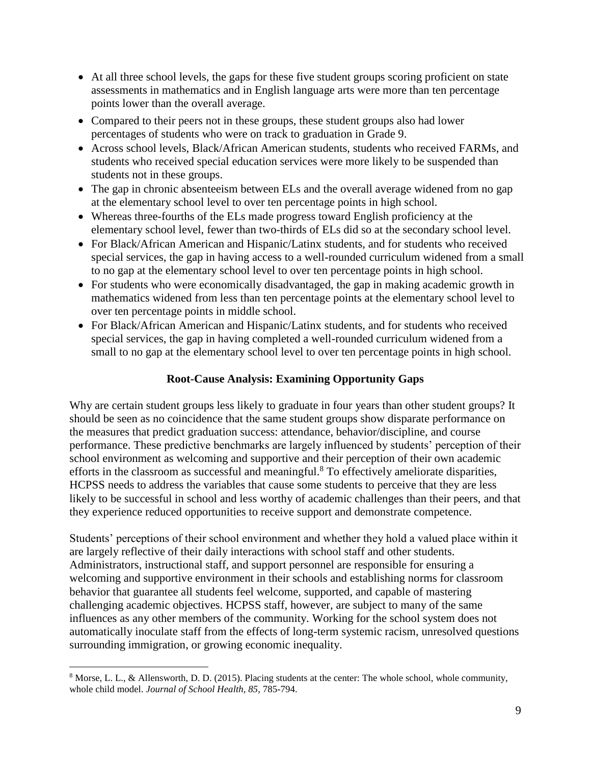- At all three school levels, the gaps for these five student groups scoring proficient on state assessments in mathematics and in English language arts were more than ten percentage points lower than the overall average.
- Compared to their peers not in these groups, these student groups also had lower percentages of students who were on track to graduation in Grade 9.
- Across school levels, Black/African American students, students who received FARMs, and students who received special education services were more likely to be suspended than students not in these groups.
- The gap in chronic absenteeism between ELs and the overall average widened from no gap at the elementary school level to over ten percentage points in high school.
- Whereas three-fourths of the ELs made progress toward English proficiency at the elementary school level, fewer than two-thirds of ELs did so at the secondary school level.
- For Black/African American and Hispanic/Latinx students, and for students who received special services, the gap in having access to a well-rounded curriculum widened from a small to no gap at the elementary school level to over ten percentage points in high school.
- For students who were economically disadvantaged, the gap in making academic growth in mathematics widened from less than ten percentage points at the elementary school level to over ten percentage points in middle school.
- For Black/African American and Hispanic/Latinx students, and for students who received special services, the gap in having completed a well-rounded curriculum widened from a small to no gap at the elementary school level to over ten percentage points in high school.

# **Root-Cause Analysis: Examining Opportunity Gaps**

Why are certain student groups less likely to graduate in four years than other student groups? It should be seen as no coincidence that the same student groups show disparate performance on the measures that predict graduation success: attendance, behavior/discipline, and course performance. These predictive benchmarks are largely influenced by students' perception of their school environment as welcoming and supportive and their perception of their own academic efforts in the classroom as successful and meaningful.<sup>8</sup> To effectively ameliorate disparities, HCPSS needs to address the variables that cause some students to perceive that they are less likely to be successful in school and less worthy of academic challenges than their peers, and that they experience reduced opportunities to receive support and demonstrate competence.

Students' perceptions of their school environment and whether they hold a valued place within it are largely reflective of their daily interactions with school staff and other students. Administrators, instructional staff, and support personnel are responsible for ensuring a welcoming and supportive environment in their schools and establishing norms for classroom behavior that guarantee all students feel welcome, supported, and capable of mastering challenging academic objectives. HCPSS staff, however, are subject to many of the same influences as any other members of the community. Working for the school system does not automatically inoculate staff from the effects of long-term systemic racism, unresolved questions surrounding immigration, or growing economic inequality.

<sup>8</sup> Morse, L. L., & Allensworth, D. D. (2015). Placing students at the center: The whole school, whole community, whole child model. *Journal of School Health, 85*, 785-794.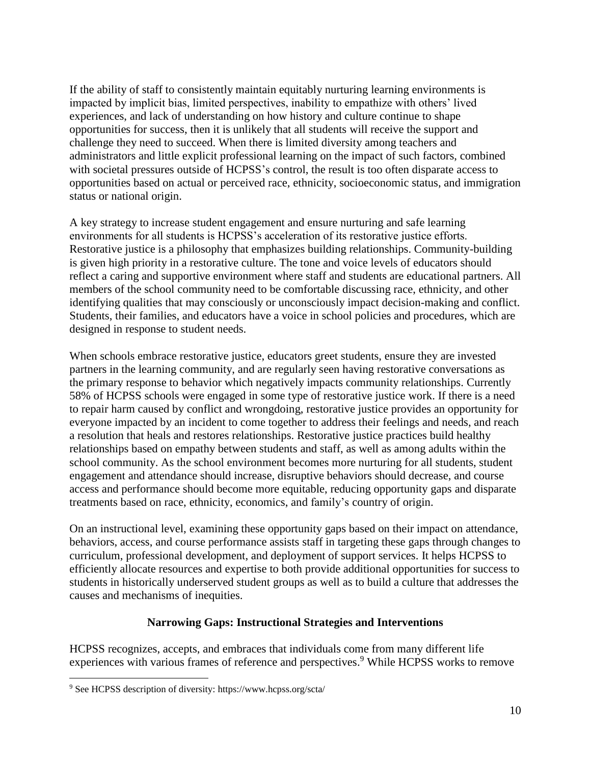If the ability of staff to consistently maintain equitably nurturing learning environments is impacted by implicit bias, limited perspectives, inability to empathize with others' lived experiences, and lack of understanding on how history and culture continue to shape opportunities for success, then it is unlikely that all students will receive the support and challenge they need to succeed. When there is limited diversity among teachers and administrators and little explicit professional learning on the impact of such factors, combined with societal pressures outside of HCPSS's control, the result is too often disparate access to opportunities based on actual or perceived race, ethnicity, socioeconomic status, and immigration status or national origin.

A key strategy to increase student engagement and ensure nurturing and safe learning environments for all students is HCPSS's acceleration of its restorative justice efforts. Restorative justice is a philosophy that emphasizes building relationships. Community-building is given high priority in a restorative culture. The tone and voice levels of educators should reflect a caring and supportive environment where staff and students are educational partners. All members of the school community need to be comfortable discussing race, ethnicity, and other identifying qualities that may consciously or unconsciously impact decision-making and conflict. Students, their families, and educators have a voice in school policies and procedures, which are designed in response to student needs.

When schools embrace restorative justice, educators greet students, ensure they are invested partners in the learning community, and are regularly seen having restorative conversations as the primary response to behavior which negatively impacts community relationships. Currently 58% of HCPSS schools were engaged in some type of restorative justice work. If there is a need to repair harm caused by conflict and wrongdoing, restorative justice provides an opportunity for everyone impacted by an incident to come together to address their feelings and needs, and reach a resolution that heals and restores relationships. Restorative justice practices build healthy relationships based on empathy between students and staff, as well as among adults within the school community. As the school environment becomes more nurturing for all students, student engagement and attendance should increase, disruptive behaviors should decrease, and course access and performance should become more equitable, reducing opportunity gaps and disparate treatments based on race, ethnicity, economics, and family's country of origin.

On an instructional level, examining these opportunity gaps based on their impact on attendance, behaviors, access, and course performance assists staff in targeting these gaps through changes to curriculum, professional development, and deployment of support services. It helps HCPSS to efficiently allocate resources and expertise to both provide additional opportunities for success to students in historically underserved student groups as well as to build a culture that addresses the causes and mechanisms of inequities.

### **Narrowing Gaps: Instructional Strategies and Interventions**

HCPSS recognizes, accepts, and embraces that individuals come from many different life experiences with various frames of reference and perspectives.<sup>9</sup> While HCPSS works to remove

<sup>9</sup> See HCPSS description of diversity: https://www.hcpss.org/scta/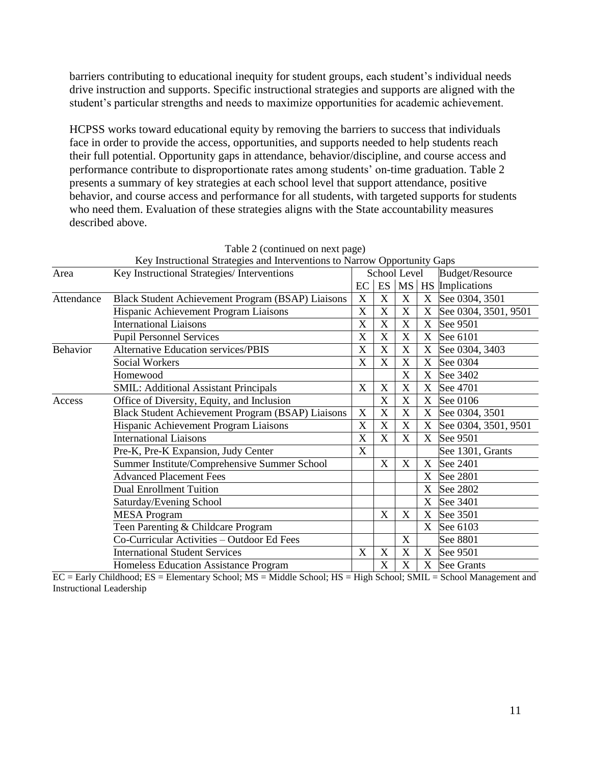barriers contributing to educational inequity for student groups, each student's individual needs drive instruction and supports. Specific instructional strategies and supports are aligned with the student's particular strengths and needs to maximize opportunities for academic achievement.

HCPSS works toward educational equity by removing the barriers to success that individuals face in order to provide the access, opportunities, and supports needed to help students reach their full potential. Opportunity gaps in attendance, behavior/discipline, and course access and performance contribute to disproportionate rates among students' on-time graduation. Table 2 presents a summary of key strategies at each school level that support attendance, positive behavior, and course access and performance for all students, with targeted supports for students who need them. Evaluation of these strategies aligns with the State accountability measures described above.

| Key Instructional Strategies and Interventions to Narrow Opportunity Gaps |                                                   |                           |                       |              |                   |                      |  |  |  |  |  |
|---------------------------------------------------------------------------|---------------------------------------------------|---------------------------|-----------------------|--------------|-------------------|----------------------|--|--|--|--|--|
| Area                                                                      | Key Instructional Strategies/ Interventions       |                           |                       | School Level |                   | Budget/Resource      |  |  |  |  |  |
|                                                                           |                                                   | EC                        | ES                    |              |                   | MS   HS Implications |  |  |  |  |  |
| Attendance                                                                | Black Student Achievement Program (BSAP) Liaisons | X                         | X                     | X            | X                 | See 0304, 3501       |  |  |  |  |  |
|                                                                           | Hispanic Achievement Program Liaisons             | X                         | X                     | X            | X                 | See 0304, 3501, 9501 |  |  |  |  |  |
|                                                                           | <b>International Liaisons</b>                     | X                         | X                     | X            | X                 | See 9501             |  |  |  |  |  |
|                                                                           | <b>Pupil Personnel Services</b>                   | X                         | $\overline{\text{X}}$ | X            | X                 | See 6101             |  |  |  |  |  |
| Behavior                                                                  | <b>Alternative Education services/PBIS</b>        | $\boldsymbol{\mathrm{X}}$ | X                     | X            | X                 | See 0304, 3403       |  |  |  |  |  |
|                                                                           | <b>Social Workers</b>                             | X                         | X                     | X            | X                 | See 0304             |  |  |  |  |  |
|                                                                           | Homewood                                          |                           |                       | X            | X                 | See 3402             |  |  |  |  |  |
|                                                                           | <b>SMIL: Additional Assistant Principals</b>      | X                         | X                     | X            | X                 | See 4701             |  |  |  |  |  |
| Access                                                                    | Office of Diversity, Equity, and Inclusion        |                           | $\overline{\text{X}}$ | X            | $X_{\mathcal{E}}$ | See 0106             |  |  |  |  |  |
|                                                                           | Black Student Achievement Program (BSAP) Liaisons | X                         | $\overline{\text{X}}$ | X            | $\mathbf X$       | See 0304, 3501       |  |  |  |  |  |
|                                                                           | Hispanic Achievement Program Liaisons             | X                         | X                     | X            | $\mathbf X$       | See 0304, 3501, 9501 |  |  |  |  |  |
|                                                                           | <b>International Liaisons</b>                     | X                         | X                     | X            | X                 | See 9501             |  |  |  |  |  |
|                                                                           | Pre-K, Pre-K Expansion, Judy Center               | X                         |                       |              |                   | See 1301, Grants     |  |  |  |  |  |
|                                                                           | Summer Institute/Comprehensive Summer School      |                           | X                     | X            | X                 | See 2401             |  |  |  |  |  |
|                                                                           | <b>Advanced Placement Fees</b>                    |                           |                       |              | X                 | See 2801             |  |  |  |  |  |
|                                                                           | <b>Dual Enrollment Tuition</b>                    |                           |                       |              | X                 | See 2802             |  |  |  |  |  |
|                                                                           | Saturday/Evening School                           |                           |                       |              | X                 | See 3401             |  |  |  |  |  |
|                                                                           | <b>MESA Program</b>                               |                           | X                     | X            | X                 | See 3501             |  |  |  |  |  |
|                                                                           | Teen Parenting & Childcare Program                |                           |                       |              | X                 | See 6103             |  |  |  |  |  |
|                                                                           | Co-Curricular Activities - Outdoor Ed Fees        |                           |                       | X            |                   | See 8801             |  |  |  |  |  |
|                                                                           | <b>International Student Services</b>             | $\boldsymbol{\mathrm{X}}$ | X                     | X            | X                 | See 9501             |  |  |  |  |  |
|                                                                           | Homeless Education Assistance Program             |                           | X                     | X            | $X_{\mathcal{E}}$ | See Grants           |  |  |  |  |  |

Table 2 (continued on next page)

EC = Early Childhood; ES = Elementary School; MS = Middle School; HS = High School; SMIL = School Management and Instructional Leadership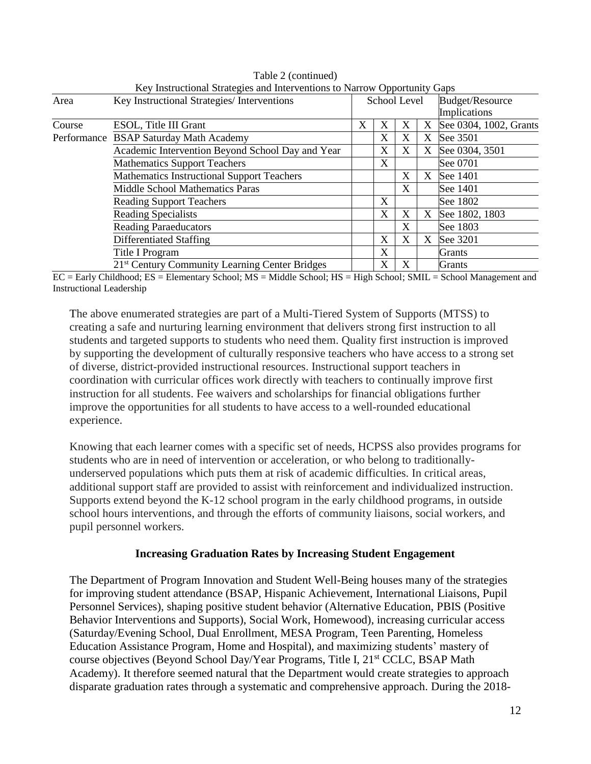|             | Rey modulum suaregies and microentions to Narrow Opportunity Gaps |   |   |              |   |                        |
|-------------|-------------------------------------------------------------------|---|---|--------------|---|------------------------|
| Area        | Key Instructional Strategies/ Interventions                       |   |   | School Level |   | <b>Budget/Resource</b> |
|             |                                                                   |   |   |              |   | Implications           |
| Course      | ESOL, Title III Grant                                             | X | X | X            | X | See 0304, 1002, Grants |
| Performance | <b>BSAP Saturday Math Academy</b>                                 |   | X | X            | X | See 3501               |
|             | Academic Intervention Beyond School Day and Year                  |   | X | X            | X | See 0304, 3501         |
|             | <b>Mathematics Support Teachers</b>                               |   | X |              |   | See 0701               |
|             | <b>Mathematics Instructional Support Teachers</b>                 |   |   | X            | X | See 1401               |
|             | <b>Middle School Mathematics Paras</b>                            |   |   | X            |   | See 1401               |
|             | <b>Reading Support Teachers</b>                                   |   | X |              |   | See 1802               |
|             | <b>Reading Specialists</b>                                        |   | X | X            |   | X See 1802, 1803       |
|             | <b>Reading Paraeducators</b>                                      |   |   | X            |   | See 1803               |
|             | Differentiated Staffing                                           |   | X | X            | X | See 3201               |
|             | Title I Program                                                   |   | X |              |   | Grants                 |
|             | 21 <sup>st</sup> Century Community Learning Center Bridges        |   | X | X            |   | <b>Grants</b>          |

Table 2 (continued) Key Instructional Strategies and Interventions to Narrow Opportunity Gaps

EC = Early Childhood; ES = Elementary School; MS = Middle School; HS = High School; SMIL = School Management and Instructional Leadership

The above enumerated strategies are part of a Multi-Tiered System of Supports (MTSS) to creating a safe and nurturing learning environment that delivers strong first instruction to all students and targeted supports to students who need them. Quality first instruction is improved by supporting the development of culturally responsive teachers who have access to a strong set of diverse, district-provided instructional resources. Instructional support teachers in coordination with curricular offices work directly with teachers to continually improve first instruction for all students. Fee waivers and scholarships for financial obligations further improve the opportunities for all students to have access to a well-rounded educational experience.

Knowing that each learner comes with a specific set of needs, HCPSS also provides programs for students who are in need of intervention or acceleration, or who belong to traditionallyunderserved populations which puts them at risk of academic difficulties. In critical areas, additional support staff are provided to assist with reinforcement and individualized instruction. Supports extend beyond the K-12 school program in the early childhood programs, in outside school hours interventions, and through the efforts of community liaisons, social workers, and pupil personnel workers.

#### **Increasing Graduation Rates by Increasing Student Engagement**

The Department of Program Innovation and Student Well-Being houses many of the strategies for improving student attendance (BSAP, Hispanic Achievement, International Liaisons, Pupil Personnel Services), shaping positive student behavior (Alternative Education, PBIS (Positive Behavior Interventions and Supports), Social Work, Homewood), increasing curricular access (Saturday/Evening School, Dual Enrollment, MESA Program, Teen Parenting, Homeless Education Assistance Program, Home and Hospital), and maximizing students' mastery of course objectives (Beyond School Day/Year Programs, Title I, 21<sup>st</sup> CCLC, BSAP Math Academy). It therefore seemed natural that the Department would create strategies to approach disparate graduation rates through a systematic and comprehensive approach. During the 2018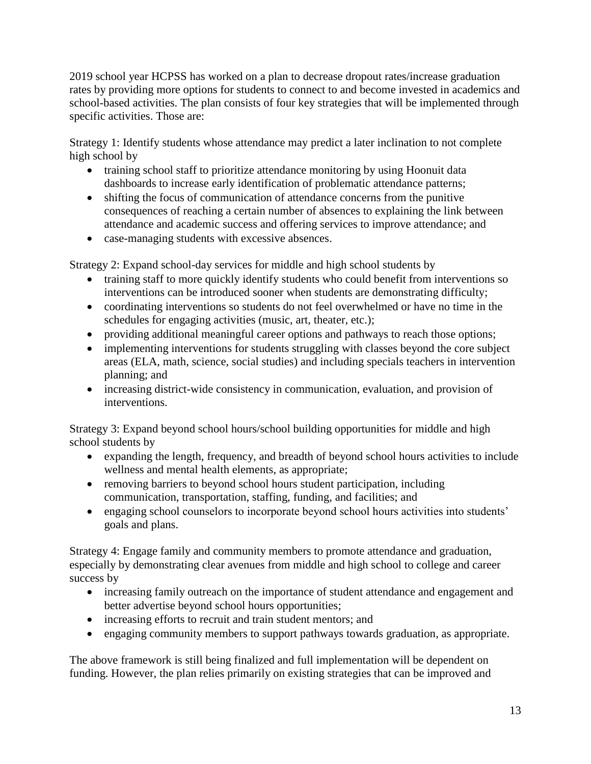2019 school year HCPSS has worked on a plan to decrease dropout rates/increase graduation rates by providing more options for students to connect to and become invested in academics and school-based activities. The plan consists of four key strategies that will be implemented through specific activities. Those are:

Strategy 1: Identify students whose attendance may predict a later inclination to not complete high school by

- training school staff to prioritize attendance monitoring by using Hoonuit data dashboards to increase early identification of problematic attendance patterns;
- shifting the focus of communication of attendance concerns from the punitive consequences of reaching a certain number of absences to explaining the link between attendance and academic success and offering services to improve attendance; and
- case-managing students with excessive absences.

Strategy 2: Expand school-day services for middle and high school students by

- training staff to more quickly identify students who could benefit from interventions so interventions can be introduced sooner when students are demonstrating difficulty;
- coordinating interventions so students do not feel overwhelmed or have no time in the schedules for engaging activities (music, art, theater, etc.);
- providing additional meaningful career options and pathways to reach those options;
- implementing interventions for students struggling with classes beyond the core subject areas (ELA, math, science, social studies) and including specials teachers in intervention planning; and
- increasing district-wide consistency in communication, evaluation, and provision of interventions.

Strategy 3: Expand beyond school hours/school building opportunities for middle and high school students by

- expanding the length, frequency, and breadth of beyond school hours activities to include wellness and mental health elements, as appropriate;
- removing barriers to beyond school hours student participation, including communication, transportation, staffing, funding, and facilities; and
- engaging school counselors to incorporate beyond school hours activities into students' goals and plans.

Strategy 4: Engage family and community members to promote attendance and graduation, especially by demonstrating clear avenues from middle and high school to college and career success by

- increasing family outreach on the importance of student attendance and engagement and better advertise beyond school hours opportunities;
- increasing efforts to recruit and train student mentors; and
- engaging community members to support pathways towards graduation, as appropriate.

The above framework is still being finalized and full implementation will be dependent on funding. However, the plan relies primarily on existing strategies that can be improved and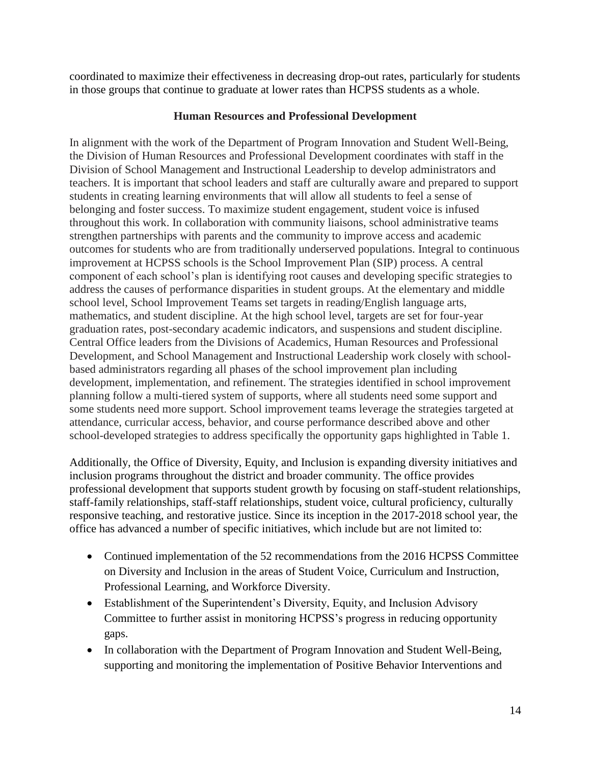coordinated to maximize their effectiveness in decreasing drop-out rates, particularly for students in those groups that continue to graduate at lower rates than HCPSS students as a whole.

### **Human Resources and Professional Development**

In alignment with the work of the Department of Program Innovation and Student Well-Being, the Division of Human Resources and Professional Development coordinates with staff in the Division of School Management and Instructional Leadership to develop administrators and teachers. It is important that school leaders and staff are culturally aware and prepared to support students in creating learning environments that will allow all students to feel a sense of belonging and foster success. To maximize student engagement, student voice is infused throughout this work. In collaboration with community liaisons, school administrative teams strengthen partnerships with parents and the community to improve access and academic outcomes for students who are from traditionally underserved populations. Integral to continuous improvement at HCPSS schools is the School Improvement Plan (SIP) process. A central component of each school's plan is identifying root causes and developing specific strategies to address the causes of performance disparities in student groups. At the elementary and middle school level, School Improvement Teams set targets in reading/English language arts, mathematics, and student discipline. At the high school level, targets are set for four-year graduation rates, post-secondary academic indicators, and suspensions and student discipline. Central Office leaders from the Divisions of Academics, Human Resources and Professional Development, and School Management and Instructional Leadership work closely with schoolbased administrators regarding all phases of the school improvement plan including development, implementation, and refinement. The strategies identified in school improvement planning follow a multi-tiered system of supports, where all students need some support and some students need more support. School improvement teams leverage the strategies targeted at attendance, curricular access, behavior, and course performance described above and other school-developed strategies to address specifically the opportunity gaps highlighted in Table 1.

Additionally, the Office of Diversity, Equity, and Inclusion is expanding diversity initiatives and inclusion programs throughout the district and broader community. The office provides professional development that supports student growth by focusing on staff-student relationships, staff-family relationships, staff-staff relationships, student voice, cultural proficiency, culturally responsive teaching, and restorative justice. Since its inception in the 2017-2018 school year, the office has advanced a number of specific initiatives, which include but are not limited to:

- Continued implementation of the 52 recommendations from the 2016 HCPSS Committee on Diversity and Inclusion in the areas of Student Voice, Curriculum and Instruction, Professional Learning, and Workforce Diversity.
- Establishment of the Superintendent's Diversity, Equity, and Inclusion Advisory Committee to further assist in monitoring HCPSS's progress in reducing opportunity gaps.
- In collaboration with the Department of Program Innovation and Student Well-Being, supporting and monitoring the implementation of Positive Behavior Interventions and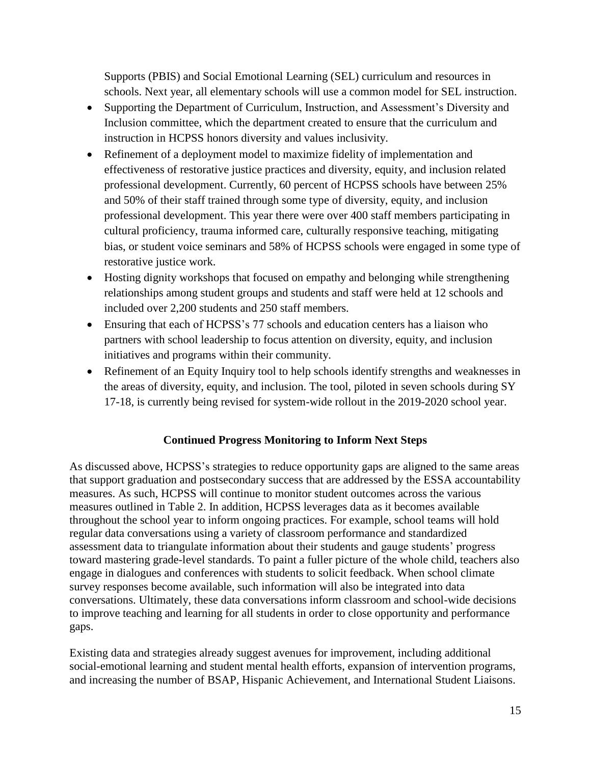Supports (PBIS) and Social Emotional Learning (SEL) curriculum and resources in schools. Next year, all elementary schools will use a common model for SEL instruction.

- Supporting the Department of Curriculum, Instruction, and Assessment's Diversity and Inclusion committee, which the department created to ensure that the curriculum and instruction in HCPSS honors diversity and values inclusivity.
- Refinement of a deployment model to maximize fidelity of implementation and effectiveness of restorative justice practices and diversity, equity, and inclusion related professional development. Currently, 60 percent of HCPSS schools have between 25% and 50% of their staff trained through some type of diversity, equity, and inclusion professional development. This year there were over 400 staff members participating in cultural proficiency, trauma informed care, culturally responsive teaching, mitigating bias, or student voice seminars and 58% of HCPSS schools were engaged in some type of restorative justice work.
- Hosting dignity workshops that focused on empathy and belonging while strengthening relationships among student groups and students and staff were held at 12 schools and included over 2,200 students and 250 staff members.
- Ensuring that each of HCPSS's 77 schools and education centers has a liaison who partners with school leadership to focus attention on diversity, equity, and inclusion initiatives and programs within their community.
- Refinement of an Equity Inquiry tool to help schools identify strengths and weaknesses in the areas of diversity, equity, and inclusion. The tool, piloted in seven schools during SY 17-18, is currently being revised for system-wide rollout in the 2019-2020 school year.

# **Continued Progress Monitoring to Inform Next Steps**

As discussed above, HCPSS's strategies to reduce opportunity gaps are aligned to the same areas that support graduation and postsecondary success that are addressed by the ESSA accountability measures. As such, HCPSS will continue to monitor student outcomes across the various measures outlined in Table 2. In addition, HCPSS leverages data as it becomes available throughout the school year to inform ongoing practices. For example, school teams will hold regular data conversations using a variety of classroom performance and standardized assessment data to triangulate information about their students and gauge students' progress toward mastering grade-level standards. To paint a fuller picture of the whole child, teachers also engage in dialogues and conferences with students to solicit feedback. When school climate survey responses become available, such information will also be integrated into data conversations. Ultimately, these data conversations inform classroom and school-wide decisions to improve teaching and learning for all students in order to close opportunity and performance gaps.

Existing data and strategies already suggest avenues for improvement, including additional social-emotional learning and student mental health efforts, expansion of intervention programs, and increasing the number of BSAP, Hispanic Achievement, and International Student Liaisons.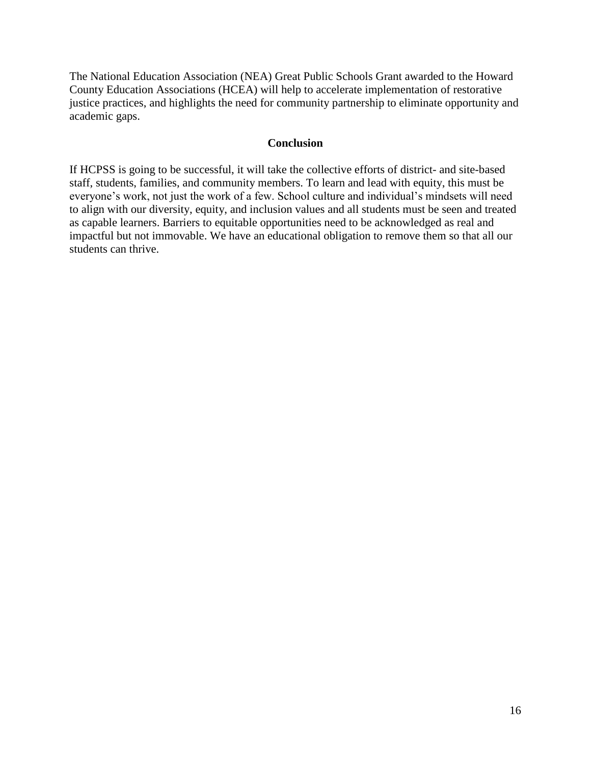The National Education Association (NEA) Great Public Schools Grant awarded to the Howard County Education Associations (HCEA) will help to accelerate implementation of restorative justice practices, and highlights the need for community partnership to eliminate opportunity and academic gaps.

#### **Conclusion**

If HCPSS is going to be successful, it will take the collective efforts of district- and site-based staff, students, families, and community members. To learn and lead with equity, this must be everyone's work, not just the work of a few. School culture and individual's mindsets will need to align with our diversity, equity, and inclusion values and all students must be seen and treated as capable learners. Barriers to equitable opportunities need to be acknowledged as real and impactful but not immovable. We have an educational obligation to remove them so that all our students can thrive.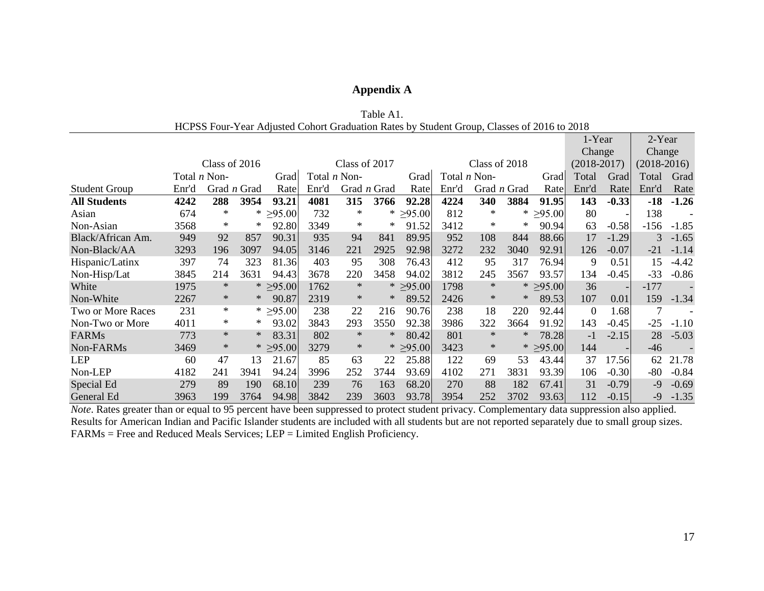### **Appendix A**

|                          |                     |               |                    | HCPSS Four-Year Adjusted Cohort Graduation Rates by Student Group, Classes of 2016 to 2018 |       |                     |                    |                |       |                     |                    |                |                  |                          |               |         |
|--------------------------|---------------------|---------------|--------------------|--------------------------------------------------------------------------------------------|-------|---------------------|--------------------|----------------|-------|---------------------|--------------------|----------------|------------------|--------------------------|---------------|---------|
|                          |                     |               |                    |                                                                                            |       |                     |                    |                |       |                     |                    |                | 1-Year           |                          | 2-Year        |         |
|                          |                     |               |                    |                                                                                            |       |                     |                    |                |       |                     |                    |                | Change           |                          | Change        |         |
|                          |                     | Class of 2016 |                    |                                                                                            |       | Class of 2017       |                    |                |       | Class of 2018       |                    |                | $(2018-2017)$    |                          | $(2018-2016)$ |         |
|                          | Total <i>n</i> Non- |               |                    | Grad                                                                                       |       | Total <i>n</i> Non- |                    | Grad           |       | Total <i>n</i> Non- |                    | Grad           | Total            | Grad                     | Total         | Grad    |
| <b>Student Group</b>     | Enr'd               |               | Grad <i>n</i> Grad | Rate                                                                                       | Enr'd |                     | Grad <i>n</i> Grad | Rate           | Enr'd |                     | Grad <i>n</i> Grad | Rate           | Enr'd            | Rate                     | Enr'd         | Rate    |
| <b>All Students</b>      | 4242                | 288           | 3954               | 93.21                                                                                      | 4081  | 315                 | 3766               | 92.28          | 4224  | 340                 | 3884               | 91.95          | 143              | $-0.33$                  | $-18$         | $-1.26$ |
| Asian                    | 674                 | $\ast$        | *                  | $\geq 95.00$                                                                               | 732   | $\ast$              | $*$                | $\geq 95.00$   | 812   | $\ast$              | ∗                  | $\geq 95.00$   | 80               |                          | 138           |         |
| Non-Asian                | 3568                | $\ast$        | $*$                | 92.80                                                                                      | 3349  | $\ast$              | $\ast$             | 91.52          | 3412  | ∗                   | ∗                  | 90.94          | 63               | $-0.58$                  | $-156$        | $-1.85$ |
| Black/African Am.        | 949                 | 92            | 857                | 90.31                                                                                      | 935   | 94                  | 841                | 89.95          | 952   | 108                 | 844                | 88.66          | 17               | $-1.29$                  | 3             | $-1.65$ |
| Non-Black/AA             | 3293                | 196           | 3097               | 94.05                                                                                      | 3146  | 221                 | 2925               | 92.98          | 3272  | 232                 | 3040               | 92.91          | 126              | $-0.07$                  | $-21$         | $-1.14$ |
| Hispanic/Latinx          | 397                 | 74            | 323                | 81.36                                                                                      | 403   | 95                  | 308                | 76.43          | 412   | 95                  | 317                | 76.94          | 9                | 0.51                     | 15            | $-4.42$ |
| Non-Hisp/Lat             | 3845                | 214           | 3631               | 94.43                                                                                      | 3678  | 220                 | 3458               | 94.02          | 3812  | 245                 | 3567               | 93.57          | 134              | $-0.45$                  | $-33$         | $-0.86$ |
| White                    | 1975                | ∗             | $\ast$             | $\geq 95.00$                                                                               | 1762  | $\ast$              | $\ast$             | $\geq 95.00$   | 1798  | $\ast$              | $\ast$             | $\geq 95.00$   | 36               | $\overline{\phantom{0}}$ | $-177$        |         |
| Non-White                | 2267                | ∗             | $*$                | 90.87                                                                                      | 2319  | $\ast$              | $\ast$             | 89.52          | 2426  | $\ast$              | $\ast$             | 89.53          | 107              | 0.01                     | 159           | $-1.34$ |
| <b>Two or More Races</b> | 231                 | ∗             |                    | * $\geq 95.00$                                                                             | 238   | 22                  | 216                | 90.76          | 238   | 18                  | 220                | 92.44          | $\boldsymbol{0}$ | 1.68                     | 7             |         |
| Non-Two or More          | 4011                | $\ast$        | $*$                | 93.02                                                                                      | 3843  | 293                 | 3550               | 92.38          | 3986  | 322                 | 3664               | 91.92          | 143              | $-0.45$                  | $-25$         | $-1.10$ |
| <b>FARMs</b>             | 773                 | $\ast$        | ∗                  | 83.31                                                                                      | 802   | $\ast$              | $\ast$             | 80.42          | 801   | $\ast$              | $\ast$             | 78.28          | $-1$             | $-2.15$                  | 28            | $-5.03$ |
| Non-FARMs                | 3469                | $\ast$        |                    | * $\geq 95.00$                                                                             | 3279  | $\ast$              |                    | * $\geq 95.00$ | 3423  | $\ast$              |                    | * $\geq 95.00$ | 144              |                          | $-46$         |         |
| LEP                      | 60                  | 47            | 13                 | 21.67                                                                                      | 85    | 63                  | 22                 | 25.88          | 122   | 69                  | 53                 | 43.44          | 37               | 17.56                    | 62            | 21.78   |
| Non-LEP                  | 4182                | 241           | 3941               | 94.24                                                                                      | 3996  | 252                 | 3744               | 93.69          | 4102  | 271                 | 3831               | 93.39          | 106              | $-0.30$                  | $-80$         | $-0.84$ |
| Special Ed               | 279                 | 89            | 190                | 68.10                                                                                      | 239   | 76                  | 163                | 68.20          | 270   | 88                  | 182                | 67.41          | 31               | $-0.79$                  | $-9$          | $-0.69$ |
| General Ed               | 3963                | 199           | 3764               | 94.98                                                                                      | 3842  | 239                 | 3603               | 93.78          | 3954  | 252                 | 3702               | 93.63          | 112              | $-0.15$                  | -9            | $-1.35$ |

Table A1.

*Note*. Rates greater than or equal to 95 percent have been suppressed to protect student privacy. Complementary data suppression also applied. Results for American Indian and Pacific Islander students are included with all students but are not reported separately due to small group sizes. FARMs = Free and Reduced Meals Services; LEP = Limited English Proficiency.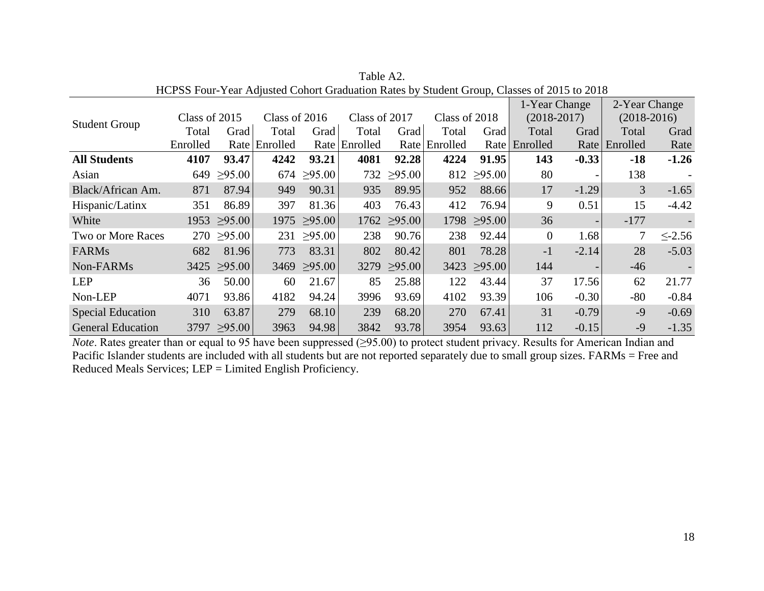|                          |               |                  |               |                  |               |                  |               |                  | 1-Year Change  |         | 2-Year Change |              |
|--------------------------|---------------|------------------|---------------|------------------|---------------|------------------|---------------|------------------|----------------|---------|---------------|--------------|
| <b>Student Group</b>     | Class of 2015 |                  | Class of 2016 |                  | Class of 2017 |                  | Class of 2018 |                  | $(2018-2017)$  |         | $(2018-2016)$ |              |
|                          | Total         | Grad             | Total         | Grad             | Total         | Grad             | Total         | Grad             | Total          | Grad    | Total         | Grad         |
|                          | Enrolled      |                  | Rate Enrolled |                  | Rate Enrolled |                  | Rate Enrolled | Rate             | Enrolled       |         | Rate Enrolled | Rate         |
| <b>All Students</b>      | 4107          | 93.47            | 4242          | 93.21            | 4081          | 92.28            | 4224          | 91.95            | 143            | $-0.33$ | $-18$         | $-1.26$      |
| Asian                    | 649           | $\geq 95.00$     |               | $674 \geq 95.00$ |               | $732 \ge 95.00$  |               | 812 $\geq$ 95.00 | 80             |         | 138           |              |
| Black/African Am.        | 871           | 87.94            | 949           | 90.31            | 935           | 89.95            | 952           | 88.66            | 17             | $-1.29$ | 3             | $-1.65$      |
| Hispanic/Latinx          | 351           | 86.89            | 397           | 81.36            | 403           | 76.43            | 412           | 76.94            | 9              | 0.51    | 15            | $-4.42$      |
| White                    |               | $1953 \ge 95.00$ |               | $1975 \ge 95.00$ |               | $1762 \ge 95.00$ |               | $1798 \ge 95.00$ | 36             |         | $-177$        |              |
| Two or More Races        |               | $270 \ge 95.00$  |               | $231 \ge 95.00$  | 238           | 90.76            | 238           | 92.44            | $\overline{0}$ | 1.68    | 7             | $\leq$ -2.56 |
| <b>FARMs</b>             | 682           | 81.96            | 773           | 83.31            | 802           | 80.42            | 801           | 78.28            | $-1$           | $-2.14$ | 28            | $-5.03$      |
| Non-FARMs                |               | $3425 \ge 95.00$ |               | $3469 \ge 95.00$ |               | $3279 \ge 95.00$ |               | $3423 \ge 95.00$ | 144            |         | $-46$         |              |
| <b>LEP</b>               | 36            | 50.00            | 60            | 21.67            | 85            | 25.88            | 122           | 43.44            | 37             | 17.56   | 62            | 21.77        |
| Non-LEP                  | 4071          | 93.86            | 4182          | 94.24            | 3996          | 93.69            | 4102          | 93.39            | 106            | $-0.30$ | $-80$         | $-0.84$      |
| <b>Special Education</b> | 310           | 63.87            | 279           | 68.10            | 239           | 68.20            | 270           | 67.41            | 31             | $-0.79$ | $-9$          | $-0.69$      |
| <b>General Education</b> | 3797          | >95.00           | 3963          | 94.98            | 3842          | 93.78            | 3954          | 93.63            | 112            | $-0.15$ | $-9$          | $-1.35$      |

Table A2. HCPSS Four-Year Adjusted Cohort Graduation Rates by Student Group, Classes of 2015 to 2018

*Note*. Rates greater than or equal to 95 have been suppressed (≥95.00) to protect student privacy. Results for American Indian and Pacific Islander students are included with all students but are not reported separately due to small group sizes. FARMs = Free and Reduced Meals Services; LEP = Limited English Proficiency.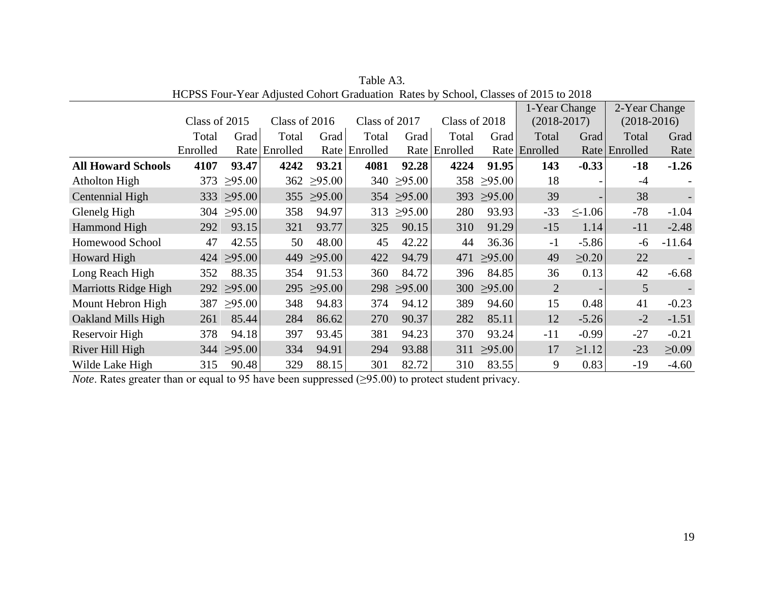|                             |               |                  |               |                 |               |                  |               |                 | 1-Year Change  |                          | 2-Year Change  |             |
|-----------------------------|---------------|------------------|---------------|-----------------|---------------|------------------|---------------|-----------------|----------------|--------------------------|----------------|-------------|
|                             | Class of 2015 |                  | Class of 2016 |                 | Class of 2017 |                  | Class of 2018 |                 | $(2018-2017)$  |                          | $(2018-2016)$  |             |
|                             | Total         | Grad             | Total         | Grad            | Total         | Grad             | Total         | Grad            | Total          | Grad                     | Total          | Grad        |
|                             | Enrolled      |                  | Rate Enrolled |                 | Rate Enrolled | Rate             | Enrolled      |                 | Rate Enrolled  |                          | Rate Enrolled  | Rate        |
| <b>All Howard Schools</b>   | 4107          | 93.47            | 4242          | 93.21           | 4081          | 92.28            | 4224          | 91.95           | 143            | $-0.33$                  | $-18$          | $-1.26$     |
| Atholton High               |               | 373 $\geq 95.00$ |               | $362 \ge 95.00$ |               | $340 \geq 95.00$ |               | $358 \ge 95.00$ | 18             |                          | $-4$           |             |
| Centennial High             |               | $333 \ge 95.00$  |               | $355 \ge 95.00$ |               | $354 \geq 95.00$ | 393           | $\geq 95.00$    | 39             | $\overline{\phantom{0}}$ | 38             |             |
| Glenelg High                | 304           | $\geq 95.00$     | 358           | 94.97           |               | $313 \ge 95.00$  | 280           | 93.93           | $-33$          | $\leq$ -1.06             | $-78$          | $-1.04$     |
| Hammond High                | 292           | 93.15            | 321           | 93.77           | 325           | 90.15            | 310           | 91.29           | $-15$          | 1.14                     | $-11$          | $-2.48$     |
| Homewood School             | 47            | 42.55            | 50            | 48.00           | 45            | 42.22            | 44            | 36.36           | $-1$           | $-5.86$                  | -6             | $-11.64$    |
| Howard High                 |               | $424 \geq 95.00$ | 449           | $\geq 95.00$    | 422           | 94.79            | 471           | $\geq 95.00$    | 49             | $\geq 0.20$              | 22             |             |
| Long Reach High             | 352           | 88.35            | 354           | 91.53           | 360           | 84.72            | 396           | 84.85           | 36             | 0.13                     | 42             | $-6.68$     |
| <b>Marriotts Ridge High</b> |               | 292 $\geq$ 95.00 |               | $295 \ge 95.00$ |               | $298 \ge 95.00$  |               | $300 \ge 95.00$ | $\overline{2}$ |                          | 5 <sup>5</sup> |             |
| Mount Hebron High           | 387           | $\geq 95.00$     | 348           | 94.83           | 374           | 94.12            | 389           | 94.60           | 15             | 0.48                     | 41             | $-0.23$     |
| Oakland Mills High          | 261           | 85.44            | 284           | 86.62           | 270           | 90.37            | 282           | 85.11           | 12             | $-5.26$                  | $-2$           | $-1.51$     |
| Reservoir High              | 378           | 94.18            | 397           | 93.45           | 381           | 94.23            | 370           | 93.24           | $-11$          | $-0.99$                  | $-27$          | $-0.21$     |
| River Hill High             |               | $344 \geq 95.00$ | 334           | 94.91           | 294           | 93.88            |               | $311 \ge 95.00$ | 17             | $\geq 1.12$              | $-23$          | $\geq 0.09$ |
| Wilde Lake High             | 315           | 90.48            | 329           | 88.15           | 301           | 82.72            | 310           | 83.55           | 9              | 0.83                     | $-19$          | $-4.60$     |

Table A3. HCPSS Four-Year Adjusted Cohort Graduation Rates by School, Classes of 2015 to 2018

*Note*. Rates greater than or equal to 95 have been suppressed (≥95.00) to protect student privacy.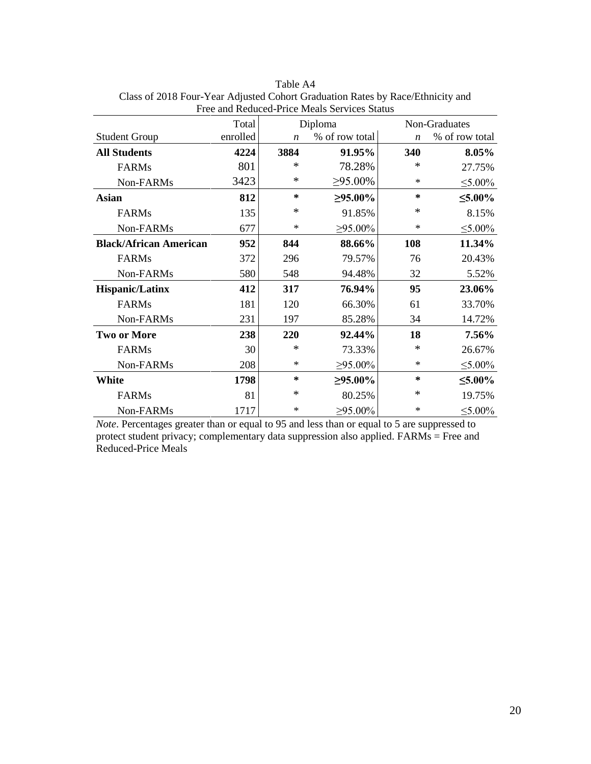|                               | Total    |                  | Diploma        |                  | Non-Graduates  |
|-------------------------------|----------|------------------|----------------|------------------|----------------|
| <b>Student Group</b>          | enrolled | $\boldsymbol{n}$ | % of row total | $\boldsymbol{n}$ | % of row total |
| <b>All Students</b>           | 4224     | 3884             | 91.95%         | 340              | 8.05%          |
| <b>FARMs</b>                  | 801      | ∗                | 78.28%         | *                | 27.75%         |
| Non-FARMs                     | 3423     | $\ast$           | $\geq 95.00\%$ | $\ast$           | $\leq 5.00\%$  |
| <b>Asian</b>                  | 812      | $\ast$           | $\geq 95.00\%$ | $\ast$           | $≤5.00\%$      |
| <b>FARMs</b>                  | 135      | $\ast$           | 91.85%         | *                | 8.15%          |
| Non-FARMs                     | 677      | $\ast$           | $\geq 95.00\%$ | ∗                | $\leq 5.00\%$  |
| <b>Black/African American</b> | 952      | 844              | 88.66%         | 108              | 11.34%         |
| <b>FARMs</b>                  | 372      | 296              | 79.57%         | 76               | 20.43%         |
| Non-FARMs                     | 580      | 548              | 94.48%         | 32               | 5.52%          |
| <b>Hispanic/Latinx</b>        | 412      | 317              | 76.94%         | 95               | 23.06%         |
| <b>FARMs</b>                  | 181      | 120              | 66.30%         | 61               | 33.70%         |
| Non-FARMs                     | 231      | 197              | 85.28%         | 34               | 14.72%         |
| <b>Two or More</b>            | 238      | 220              | 92.44%         | 18               | 7.56%          |
| <b>FARMs</b>                  | 30       | $\ast$           | 73.33%         | $\ast$           | 26.67%         |
| Non-FARMs                     | 208      | $\ast$           | $\geq 95.00\%$ | $\ast$           | $\leq 5.00\%$  |
| <b>White</b>                  | 1798     | $\ast$           | $\geq 95.00\%$ | $\ast$           | $≤5.00\%$      |
| <b>FARMs</b>                  | 81       | $\ast$           | 80.25%         | *                | 19.75%         |
| Non-FARMs                     | 1717     | ∗                | $\geq 95.00\%$ | ∗                | $\leq 5.00\%$  |

Table A4 Class of 2018 Four-Year Adjusted Cohort Graduation Rates by Race/Ethnicity and Free and Reduced-Price Meals Services Status

*Note*. Percentages greater than or equal to 95 and less than or equal to 5 are suppressed to protect student privacy; complementary data suppression also applied. FARMs = Free and Reduced-Price Meals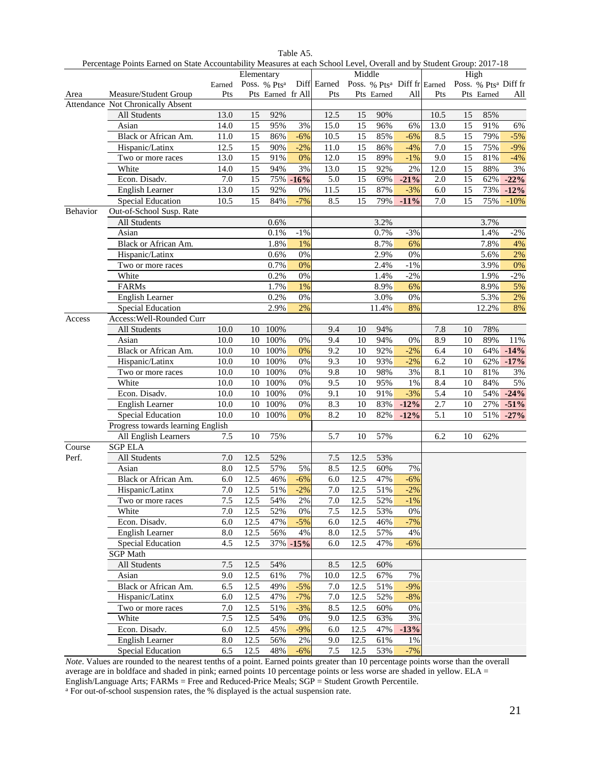|          |                                   |      | Percentage Points Earned on State Accountability Measures at each School Level, Overall and by Student Group: 2017-18<br>Middle<br>High |                   |          |                                                                                                                      |      |            |        |      |    |            |              |
|----------|-----------------------------------|------|-----------------------------------------------------------------------------------------------------------------------------------------|-------------------|----------|----------------------------------------------------------------------------------------------------------------------|------|------------|--------|------|----|------------|--------------|
|          |                                   |      | Elementary                                                                                                                              |                   |          | Earned Poss. % Pts <sup>a</sup> Diff Earned Poss. % Pts <sup>a</sup> Diff fr Earned Poss. % Pts <sup>a</sup> Diff fr |      |            |        |      |    |            |              |
| Area     | Measure/Student Group             | Pts  |                                                                                                                                         | Pts Earned fr All |          | Pts                                                                                                                  |      | Pts Earned | All    | Pts  |    | Pts Earned | All          |
|          | Attendance Not Chronically Absent |      |                                                                                                                                         |                   |          |                                                                                                                      |      |            |        |      |    |            |              |
|          | All Students                      | 13.0 | 15                                                                                                                                      | 92%               |          | 12.5                                                                                                                 | 15   | 90%        |        | 10.5 | 15 | 85%        |              |
|          | Asian                             | 14.0 | 15                                                                                                                                      | 95%               | 3%       | 15.0                                                                                                                 | 15   | 96%        | 6%     | 13.0 | 15 | 91%        | 6%           |
|          | Black or African Am.              | 11.0 | 15                                                                                                                                      | 86%               | $-6%$    | 10.5                                                                                                                 | 15   | 85%        | $-6%$  | 8.5  | 15 | 79%        | $-5%$        |
|          | Hispanic/Latinx                   | 12.5 | 15                                                                                                                                      | 90%               | $-2%$    | 11.0                                                                                                                 | 15   | 86%        | $-4%$  | 7.0  | 15 | 75%        | $-9%$        |
|          | Two or more races                 | 13.0 | 15                                                                                                                                      | 91%               | 0%       | 12.0                                                                                                                 | 15   | 89%        | $-1\%$ | 9.0  | 15 | 81%        | $-4%$        |
|          | White                             | 14.0 | 15                                                                                                                                      | 94%               | 3%       | 13.0                                                                                                                 | 15   | 92%        | 2%     | 12.0 | 15 | 88%        | 3%           |
|          | Econ. Disadv.                     | 7.0  | 15                                                                                                                                      |                   | 75% -16% | 5.0                                                                                                                  | 15   | 69%        | $-21%$ | 2.0  | 15 | 62%        | $-22%$       |
|          | English Learner                   | 13.0 | 15                                                                                                                                      | 92%               | 0%       | 11.5                                                                                                                 | 15   | 87%        | $-3%$  | 6.0  | 15 | 73%        | $-12%$       |
|          | <b>Special Education</b>          | 10.5 | 15                                                                                                                                      | 84%               | $-7%$    | 8.5                                                                                                                  | 15   | 79%        | $-11%$ | 7.0  | 15 | 75%        | $-10%$       |
| Behavior | Out-of-School Susp. Rate          |      |                                                                                                                                         |                   |          |                                                                                                                      |      |            |        |      |    |            |              |
|          | All Students                      |      |                                                                                                                                         | 0.6%              |          |                                                                                                                      |      | 3.2%       |        |      |    | 3.7%       |              |
|          | Asian                             |      |                                                                                                                                         | 0.1%              | $-1%$    |                                                                                                                      |      | 0.7%       | $-3%$  |      |    | 1.4%       | $-2%$        |
|          | Black or African Am.              |      |                                                                                                                                         | 1.8%              | 1%       |                                                                                                                      |      | 8.7%       | 6%     |      |    | 7.8%       | 4%           |
|          | Hispanic/Latinx                   |      |                                                                                                                                         | 0.6%              | 0%       |                                                                                                                      |      | 2.9%       | 0%     |      |    | 5.6%       | 2%           |
|          | Two or more races                 |      |                                                                                                                                         | 0.7%              | 0%       |                                                                                                                      |      | 2.4%       | $-1%$  |      |    | 3.9%       | 0%           |
|          | White                             |      |                                                                                                                                         | 0.2%              | 0%       |                                                                                                                      |      | 1.4%       | $-2%$  |      |    | 1.9%       | $-2%$        |
|          | FARMs                             |      |                                                                                                                                         | 1.7%              | 1%       |                                                                                                                      |      | 8.9%       | 6%     |      |    | 8.9%       | 5%           |
|          | English Learner                   |      |                                                                                                                                         | 0.2%              | $0\%$    |                                                                                                                      |      | 3.0%       | 0%     |      |    | 5.3%       | 2%           |
|          | Special Education                 |      |                                                                                                                                         | 2.9%              | 2%       |                                                                                                                      |      | 11.4%      | 8%     |      |    | 12.2%      | 8%           |
| Access   | Access: Well-Rounded Curr         |      |                                                                                                                                         |                   |          |                                                                                                                      |      |            |        |      |    |            |              |
|          | All Students                      | 10.0 |                                                                                                                                         | 10 100%           |          | 9.4                                                                                                                  | 10   | 94%        |        | 7.8  | 10 | 78%        |              |
|          | Asian                             | 10.0 |                                                                                                                                         | 10 100%           | 0%       | 9.4                                                                                                                  | 10   | 94%        | 0%     | 8.9  | 10 | 89%        | 11%          |
|          | Black or African Am.              | 10.0 |                                                                                                                                         | 10 100%           | 0%       | 9.2                                                                                                                  | 10   | 92%        | $-2%$  | 6.4  | 10 |            | 64% -14%     |
|          | Hispanic/Latinx                   | 10.0 | 10                                                                                                                                      | 100%              | 0%       | 9.3                                                                                                                  | 10   | 93%        | $-2%$  | 6.2  | 10 |            | $62\% -17\%$ |
|          | Two or more races                 | 10.0 | 10                                                                                                                                      | 100%              | 0%       | 9.8                                                                                                                  | 10   | 98%        | 3%     | 8.1  | 10 | 81%        | $3\%$        |
|          | White                             | 10.0 | 10                                                                                                                                      | 100%              | 0%       | 9.5                                                                                                                  | 10   | 95%        | 1%     | 8.4  | 10 | 84%        | 5%           |
|          | Econ. Disadv.                     | 10.0 | 10                                                                                                                                      | 100%              | 0%       | 9.1                                                                                                                  | 10   | 91%        | $-3%$  | 5.4  | 10 | 54%        | $-24%$       |
|          | English Learner                   | 10.0 | 10                                                                                                                                      | 100%              | 0%       | 8.3                                                                                                                  | 10   | 83%        | $-12%$ | 2.7  | 10 | 27%        | $-51%$       |
|          | Special Education                 | 10.0 |                                                                                                                                         | 10 100%           | 0%       | 8.2                                                                                                                  | 10   | 82%        | $-12%$ | 5.1  | 10 |            | 51% -27%     |
|          | Progress towards learning English |      |                                                                                                                                         |                   |          |                                                                                                                      |      |            |        |      |    |            |              |
|          | All English Learners              | 7.5  | 10                                                                                                                                      | 75%               |          | 5.7                                                                                                                  | 10   | 57%        |        | 6.2  | 10 | 62%        |              |
| Course   | <b>SGP ELA</b>                    |      |                                                                                                                                         |                   |          |                                                                                                                      |      |            |        |      |    |            |              |
| Perf.    | All Students                      | 7.0  | 12.5                                                                                                                                    | 52%               |          | 7.5                                                                                                                  | 12.5 | 53%        |        |      |    |            |              |
|          | Asian                             | 8.0  | 12.5                                                                                                                                    | 57%               | 5%       | 8.5                                                                                                                  | 12.5 | 60%        | 7%     |      |    |            |              |
|          | Black or African Am.              | 6.0  | 12.5                                                                                                                                    | 46%               | $-6%$    | $6.0\,$                                                                                                              | 12.5 | 47%        | $-6%$  |      |    |            |              |
|          | Hispanic/Latinx                   | 7.0  | 12.5                                                                                                                                    | 51%               | $-2%$    | 7.0                                                                                                                  | 12.5 | 51%        | $-2%$  |      |    |            |              |
|          | Two or more races                 | 7.5  | 12.5                                                                                                                                    | 54%               | 2%       | 7.0                                                                                                                  | 12.5 | 52%        | $-1\%$ |      |    |            |              |
|          | White                             | 7.0  | 12.5                                                                                                                                    | 52%               | 0%       | 7.5                                                                                                                  | 12.5 | 53%        | $0\%$  |      |    |            |              |
|          | Econ. Disadv.                     | 6.0  | 12.5                                                                                                                                    | 47%               | $-5%$    | 6.0                                                                                                                  | 12.5 | 46%        | $-7%$  |      |    |            |              |
|          | English Learner                   | 8.0  | 12.5                                                                                                                                    | 56%               | 4%       | 8.0                                                                                                                  | 12.5 | 57%        | 4%     |      |    |            |              |
|          | <b>Special Education</b>          | 4.5  | 12.5                                                                                                                                    |                   | 37% -15% | 6.0                                                                                                                  | 12.5 | 47%        | $-6%$  |      |    |            |              |
|          | <b>SGP</b> Math                   |      |                                                                                                                                         |                   |          |                                                                                                                      |      |            |        |      |    |            |              |
|          | All Students                      | 7.5  | 12.5                                                                                                                                    | 54%               |          | 8.5                                                                                                                  | 12.5 | 60%        |        |      |    |            |              |
|          | Asian                             | 9.0  | 12.5                                                                                                                                    | 61%               | 7%       | 10.0                                                                                                                 | 12.5 | 67%        | 7%     |      |    |            |              |
|          | Black or African Am.              | 6.5  | 12.5                                                                                                                                    | 49%               | $-5%$    | 7.0                                                                                                                  | 12.5 | 51%        | $-9%$  |      |    |            |              |
|          | Hispanic/Latinx                   | 6.0  | 12.5                                                                                                                                    | 47%               | $-7%$    | 7.0                                                                                                                  | 12.5 | 52%        | $-8%$  |      |    |            |              |
|          | Two or more races                 | 7.0  | 12.5                                                                                                                                    | 51%               | $-3%$    | 8.5                                                                                                                  | 12.5 | 60%        | 0%     |      |    |            |              |
|          | White                             | 7.5  | 12.5                                                                                                                                    | 54%               | 0%       | 9.0                                                                                                                  | 12.5 | 63%        | $3\%$  |      |    |            |              |
|          | Econ. Disadv.                     | 6.0  | 12.5                                                                                                                                    | 45%               | $-9%$    | 6.0                                                                                                                  | 12.5 | 47%        | $-13%$ |      |    |            |              |
|          | English Learner                   | 8.0  | 12.5                                                                                                                                    | 56%               | 2%       | 9.0                                                                                                                  | 12.5 | 61%        | 1%     |      |    |            |              |
|          | Special Education                 | 6.5  | 12.5                                                                                                                                    | 48%               | $-6%$    | $7.5$                                                                                                                | 12.5 | 53%        | $-7%$  |      |    |            |              |

Table A5.

*Note*. Values are rounded to the nearest tenths of a point. Earned points greater than 10 percentage points worse than the overall average are in boldface and shaded in pink; earned points 10 percentage points or less worse are shaded in yellow. ELA = English/Language Arts; FARMs = Free and Reduced-Price Meals; SGP = Student Growth Percentile.

<sup>a</sup> For out-of-school suspension rates, the % displayed is the actual suspension rate.